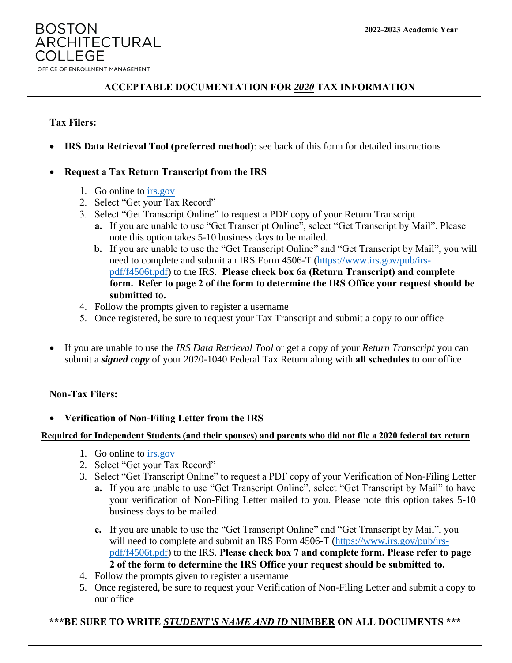**BOSTON ARCHITECTURAL** COLL EGE OFFICE OF ENROLLMENT MANAGEMENT

# **ACCEPTABLE DOCUMENTATION FOR** *2020* **TAX INFORMATION**

### **Tax Filers:**

• **IRS Data Retrieval Tool (preferred method)**: see back of this form for detailed instructions

## • **Request a Tax Return Transcript from the IRS**

- 1. Go online to [irs.gov](http://www.irs.gov/)
- 2. Select "Get your Tax Record"
- 3. Select "Get Transcript Online" to request a PDF copy of your Return Transcript
	- **a.** If you are unable to use "Get Transcript Online", select "Get Transcript by Mail". Please note this option takes 5-10 business days to be mailed.
	- **b.** If you are unable to use the "Get Transcript Online" and "Get Transcript by Mail", you will need to complete and submit an IRS Form 4506-T (http[s://www.irs.gov/pub/irs](https://www.irs.gov/pub/irs-pdf/f4506t.pdf)[pdf/f4506t.pdf\)](https://www.irs.gov/pub/irs-pdf/f4506t.pdf) to the IRS. **Please check box 6a (Return Transcript) and complete form. Refer to page 2 of the form to determine the IRS Office your request should be submitted to.**
- 4. Follow the prompts given to register a username
- 5. Once registered, be sure to request your Tax Transcript and submit a copy to our office
- If you are unable to use the *IRS Data Retrieval Tool* or get a copy of your *Return Transcript* you can submit a *signed copy* of your 2020-1040 Federal Tax Return along with **all schedules** to our office

#### **Non-Tax Filers:**

#### • **Verification of Non-Filing Letter from the IRS**

#### **Required for Independent Students (and their spouses) and parents who did not file a 2020 federal tax return**

- 1. Go online to [irs.gov](http://www.irs.gov/)
- 2. Select "Get your Tax Record"
- 3. Select "Get Transcript Online" to request a PDF copy of your Verification of Non-Filing Letter
	- **a.** If you are unable to use "Get Transcript Online", select "Get Transcript by Mail" to have your verification of Non-Filing Letter mailed to you. Please note this option takes 5-10 business days to be mailed.
	- **c.** If you are unable to use the "Get Transcript Online" and "Get Transcript by Mail", you will need to complete and submit an IRS Form 4506-T [\(https://www.irs.gov/pub/irs](https://www.irs.gov/pub/irs-pdf/f4506t.pdf)[pdf/f4506t.pdf\)](https://www.irs.gov/pub/irs-pdf/f4506t.pdf) to the IRS. **Please check box 7 and complete form. Please refer to page 2 of the form to determine the IRS Office your request should be submitted to.**
- 4. Follow the prompts given to register a username
- 5. Once registered, be sure to request your Verification of Non-Filing Letter and submit a copy to our office

#### **\*\*\*BE SURE TO WRITE** *STUDENT'S NAME AND ID* **NUMBER ON ALL DOCUMENTS \*\*\***